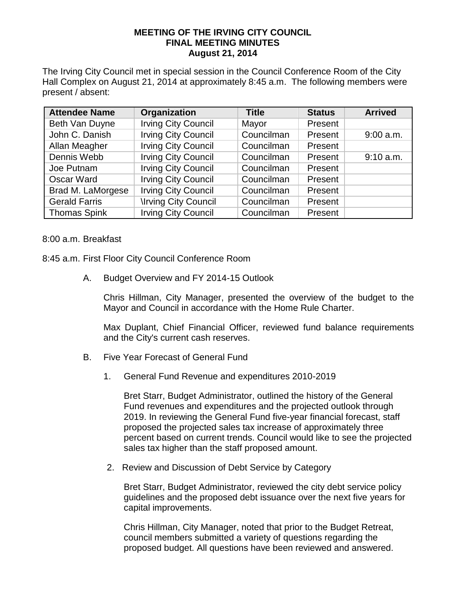## **MEETING OF THE IRVING CITY COUNCIL FINAL MEETING MINUTES August 21, 2014**

The Irving City Council met in special session in the Council Conference Room of the City Hall Complex on August 21, 2014 at approximately 8:45 a.m. The following members were present / absent:

| <b>Attendee Name</b> | Organization               | <b>Title</b> | <b>Status</b> | <b>Arrived</b> |
|----------------------|----------------------------|--------------|---------------|----------------|
| Beth Van Duyne       | <b>Irving City Council</b> | Mayor        | Present       |                |
| John C. Danish       | <b>Irving City Council</b> | Councilman   | Present       | $9:00$ a.m.    |
| Allan Meagher        | <b>Irving City Council</b> | Councilman   | Present       |                |
| Dennis Webb          | <b>Irving City Council</b> | Councilman   | Present       | 9:10 a.m.      |
| Joe Putnam           | <b>Irving City Council</b> | Councilman   | Present       |                |
| Oscar Ward           | <b>Irving City Council</b> | Councilman   | Present       |                |
| Brad M. LaMorgese    | <b>Irving City Council</b> | Councilman   | Present       |                |
| <b>Gerald Farris</b> | <b>Irving City Council</b> | Councilman   | Present       |                |
| <b>Thomas Spink</b>  | <b>Irving City Council</b> | Councilman   | Present       |                |

8:00 a.m. Breakfast

- 8:45 a.m. First Floor City Council Conference Room
	- A. Budget Overview and FY 2014-15 Outlook

Chris Hillman, City Manager, presented the overview of the budget to the Mayor and Council in accordance with the Home Rule Charter.

Max Duplant, Chief Financial Officer, reviewed fund balance requirements and the City's current cash reserves.

- B. Five Year Forecast of General Fund
	- 1. General Fund Revenue and expenditures 2010-2019

Bret Starr, Budget Administrator, outlined the history of the General Fund revenues and expenditures and the projected outlook through 2019. In reviewing the General Fund five-year financial forecast, staff proposed the projected sales tax increase of approximately three percent based on current trends. Council would like to see the projected sales tax higher than the staff proposed amount.

2. Review and Discussion of Debt Service by Category

Bret Starr, Budget Administrator, reviewed the city debt service policy guidelines and the proposed debt issuance over the next five years for capital improvements.

Chris Hillman, City Manager, noted that prior to the Budget Retreat, council members submitted a variety of questions regarding the proposed budget. All questions have been reviewed and answered.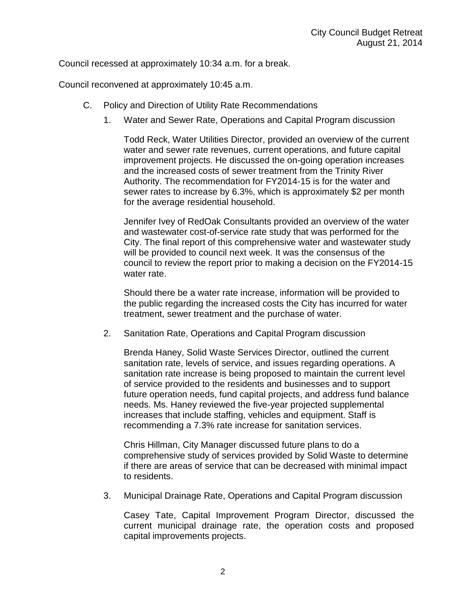Council recessed at approximately 10:34 a.m. for a break.

Council reconvened at approximately 10:45 a.m.

- C. Policy and Direction of Utility Rate Recommendations
	- 1. Water and Sewer Rate, Operations and Capital Program discussion

Todd Reck, Water Utilities Director, provided an overview of the current water and sewer rate revenues, current operations, and future capital improvement projects. He discussed the on-going operation increases and the increased costs of sewer treatment from the Trinity River Authority. The recommendation for FY2014-15 is for the water and sewer rates to increase by 6.3%, which is approximately \$2 per month for the average residential household.

Jennifer Ivey of RedOak Consultants provided an overview of the water and wastewater cost-of-service rate study that was performed for the City. The final report of this comprehensive water and wastewater study will be provided to council next week. It was the consensus of the council to review the report prior to making a decision on the FY2014-15 water rate.

Should there be a water rate increase, information will be provided to the public regarding the increased costs the City has incurred for water treatment, sewer treatment and the purchase of water.

2. Sanitation Rate, Operations and Capital Program discussion

Brenda Haney, Solid Waste Services Director, outlined the current sanitation rate, levels of service, and issues regarding operations. A sanitation rate increase is being proposed to maintain the current level of service provided to the residents and businesses and to support future operation needs, fund capital projects, and address fund balance needs. Ms. Haney reviewed the five-year projected supplemental increases that include staffing, vehicles and equipment. Staff is recommending a 7.3% rate increase for sanitation services.

Chris Hillman, City Manager discussed future plans to do a comprehensive study of services provided by Solid Waste to determine if there are areas of service that can be decreased with minimal impact to residents.

3. Municipal Drainage Rate, Operations and Capital Program discussion

Casey Tate, Capital Improvement Program Director, discussed the current municipal drainage rate, the operation costs and proposed capital improvements projects.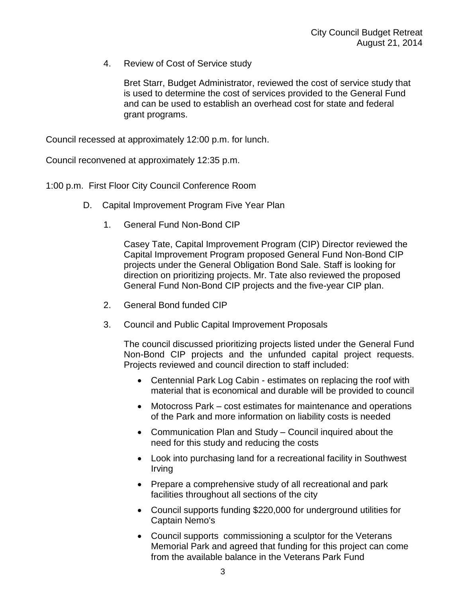4. Review of Cost of Service study

Bret Starr, Budget Administrator, reviewed the cost of service study that is used to determine the cost of services provided to the General Fund and can be used to establish an overhead cost for state and federal grant programs.

Council recessed at approximately 12:00 p.m. for lunch.

Council reconvened at approximately 12:35 p.m.

1:00 p.m. First Floor City Council Conference Room

- D. Capital Improvement Program Five Year Plan
	- 1. General Fund Non-Bond CIP

Casey Tate, Capital Improvement Program (CIP) Director reviewed the Capital Improvement Program proposed General Fund Non-Bond CIP projects under the General Obligation Bond Sale. Staff is looking for direction on prioritizing projects. Mr. Tate also reviewed the proposed General Fund Non-Bond CIP projects and the five-year CIP plan.

- 2. General Bond funded CIP
- 3. Council and Public Capital Improvement Proposals

The council discussed prioritizing projects listed under the General Fund Non-Bond CIP projects and the unfunded capital project requests. Projects reviewed and council direction to staff included:

- Centennial Park Log Cabin estimates on replacing the roof with material that is economical and durable will be provided to council
- Motocross Park cost estimates for maintenance and operations of the Park and more information on liability costs is needed
- Communication Plan and Study Council inquired about the need for this study and reducing the costs
- Look into purchasing land for a recreational facility in Southwest Irving
- Prepare a comprehensive study of all recreational and park facilities throughout all sections of the city
- Council supports funding \$220,000 for underground utilities for Captain Nemo's
- Council supports commissioning a sculptor for the Veterans Memorial Park and agreed that funding for this project can come from the available balance in the Veterans Park Fund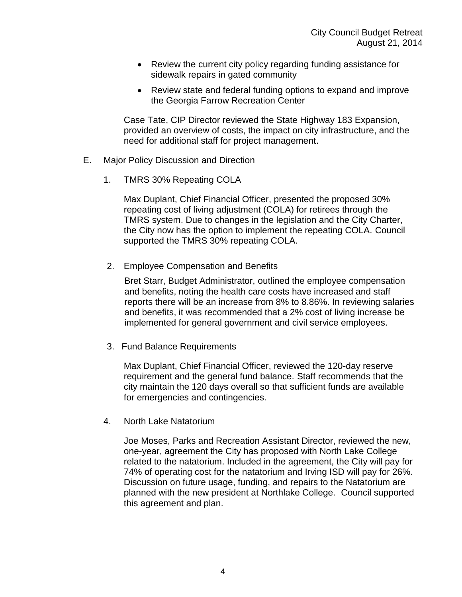- Review the current city policy regarding funding assistance for sidewalk repairs in gated community
- Review state and federal funding options to expand and improve the Georgia Farrow Recreation Center

Case Tate, CIP Director reviewed the State Highway 183 Expansion, provided an overview of costs, the impact on city infrastructure, and the need for additional staff for project management.

- E. Major Policy Discussion and Direction
	- 1. TMRS 30% Repeating COLA

Max Duplant, Chief Financial Officer, presented the proposed 30% repeating cost of living adjustment (COLA) for retirees through the TMRS system. Due to changes in the legislation and the City Charter, the City now has the option to implement the repeating COLA. Council supported the TMRS 30% repeating COLA.

2. Employee Compensation and Benefits

Bret Starr, Budget Administrator, outlined the employee compensation and benefits, noting the health care costs have increased and staff reports there will be an increase from 8% to 8.86%. In reviewing salaries and benefits, it was recommended that a 2% cost of living increase be implemented for general government and civil service employees.

3. Fund Balance Requirements

Max Duplant, Chief Financial Officer, reviewed the 120-day reserve requirement and the general fund balance. Staff recommends that the city maintain the 120 days overall so that sufficient funds are available for emergencies and contingencies.

4. North Lake Natatorium

Joe Moses, Parks and Recreation Assistant Director, reviewed the new, one-year, agreement the City has proposed with North Lake College related to the natatorium. Included in the agreement, the City will pay for 74% of operating cost for the natatorium and Irving ISD will pay for 26%. Discussion on future usage, funding, and repairs to the Natatorium are planned with the new president at Northlake College. Council supported this agreement and plan.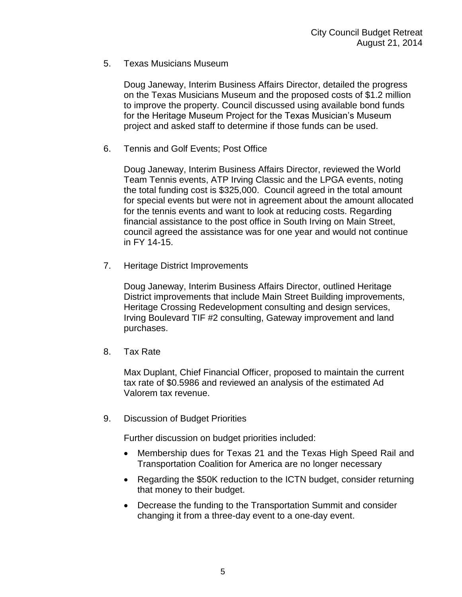5. Texas Musicians Museum

Doug Janeway, Interim Business Affairs Director, detailed the progress on the Texas Musicians Museum and the proposed costs of \$1.2 million to improve the property. Council discussed using available bond funds for the Heritage Museum Project for the Texas Musician's Museum project and asked staff to determine if those funds can be used.

6. Tennis and Golf Events; Post Office

Doug Janeway, Interim Business Affairs Director, reviewed the World Team Tennis events, ATP Irving Classic and the LPGA events, noting the total funding cost is \$325,000. Council agreed in the total amount for special events but were not in agreement about the amount allocated for the tennis events and want to look at reducing costs. Regarding financial assistance to the post office in South Irving on Main Street, council agreed the assistance was for one year and would not continue in FY 14-15.

7. Heritage District Improvements

Doug Janeway, Interim Business Affairs Director, outlined Heritage District improvements that include Main Street Building improvements, Heritage Crossing Redevelopment consulting and design services, Irving Boulevard TIF #2 consulting, Gateway improvement and land purchases.

8. Tax Rate

Max Duplant, Chief Financial Officer, proposed to maintain the current tax rate of \$0.5986 and reviewed an analysis of the estimated Ad Valorem tax revenue.

9. Discussion of Budget Priorities

Further discussion on budget priorities included:

- Membership dues for Texas 21 and the Texas High Speed Rail and Transportation Coalition for America are no longer necessary
- Regarding the \$50K reduction to the ICTN budget, consider returning that money to their budget.
- Decrease the funding to the Transportation Summit and consider changing it from a three-day event to a one-day event.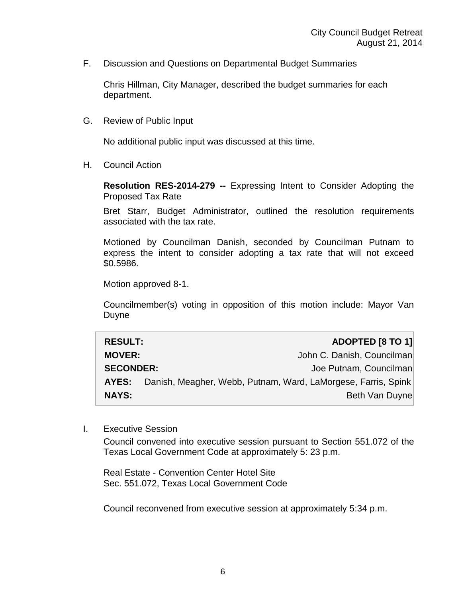F. Discussion and Questions on Departmental Budget Summaries

Chris Hillman, City Manager, described the budget summaries for each department.

G. Review of Public Input

No additional public input was discussed at this time.

H. Council Action

**Resolution RES-2014-279 --** Expressing Intent to Consider Adopting the Proposed Tax Rate

Bret Starr, Budget Administrator, outlined the resolution requirements associated with the tax rate.

Motioned by Councilman Danish, seconded by Councilman Putnam to express the intent to consider adopting a tax rate that will not exceed \$0.5986.

Motion approved 8-1.

Councilmember(s) voting in opposition of this motion include: Mayor Van Duyne

| <b>RESULT:</b>   |                                                               | ADOPTED [8 TO 1]           |
|------------------|---------------------------------------------------------------|----------------------------|
| <b>MOVER:</b>    |                                                               | John C. Danish, Councilman |
| <b>SECONDER:</b> |                                                               | Joe Putnam, Councilman     |
| AYES:            | Danish, Meagher, Webb, Putnam, Ward, LaMorgese, Farris, Spink |                            |
| <b>NAYS:</b>     |                                                               | Beth Van Duyne             |

I. Executive Session

Council convened into executive session pursuant to Section 551.072 of the Texas Local Government Code at approximately 5: 23 p.m.

Real Estate - Convention Center Hotel Site Sec. 551.072, Texas Local Government Code

Council reconvened from executive session at approximately 5:34 p.m.